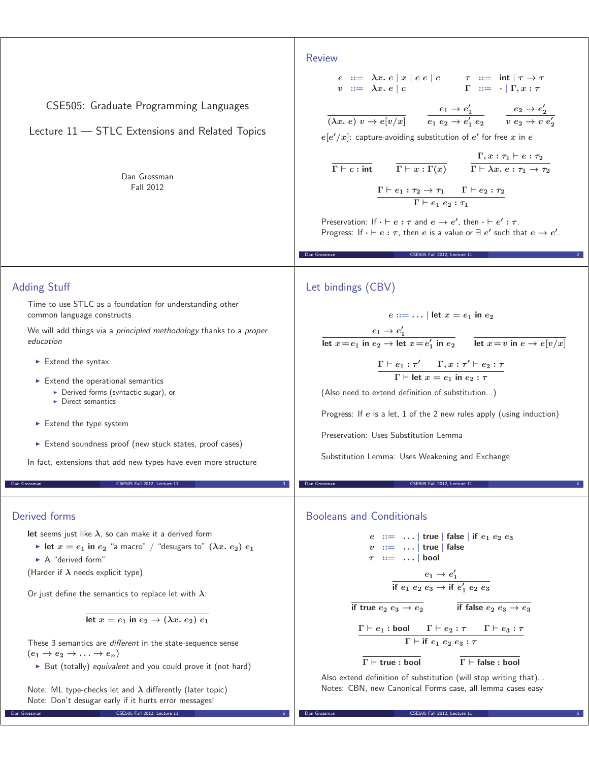| CSE505: Graduate Programming Languages<br>Lecture 11 - STLC Extensions and Related Topics<br>Dan Grossman<br><b>Fall 2012</b>                                                                                                                                                                                                                                                                                                                                                                                                                                                                                                                                                                                                                                             | <b>Review</b><br>$\begin{array}{rclcl} e & ::= & \lambda x.~ e \mid x \mid e ~ e \mid c & \tau & ::= & \mathsf{int} \mid \tau \rightarrow \tau \\ v & ::= & \lambda x.~ e \mid c & & \Gamma & ::= & \cdot \mid \Gamma, x : \tau \end{array}$<br>$\overline{(\lambda x.\ e)\ v \rightarrow e[v/x]} \qquad \frac{e_1 \rightarrow e_1'}{e_1\ e_2 \rightarrow e_1'\ e_2} \qquad \frac{e_2 \rightarrow e_2'}{v\ e_2 \rightarrow v\ e_2'}$<br>$e[e'/x]$ : capture-avoiding substitution of e' for free x in e<br>$\cfrac{\Gamma, x : \tau_1 \vdash e : \tau_2}{\Gamma \vdash x : \Gamma(x)} \qquad \cfrac{\Gamma, x : \tau_1 \vdash e : \tau_2}{\Gamma \vdash \lambda x.\ e : \tau_1 \rightarrow \tau_2}$<br>$\Gamma \vdash e_1 : \tau_2 \rightarrow \tau_1 \qquad \Gamma \vdash e_2 : \tau_2$<br>$\Gamma \vdash e_1 \; e_2 : \tau_1$<br>Preservation: If $\cdot \vdash e : \tau$ and $e \rightarrow e'$ , then $\cdot \vdash e' : \tau$ .<br>Progress: If $\cdot \vdash e : \tau$ , then e is a value or $\exists e'$ such that $e \rightarrow e'$ .<br>CSE505 Fall 2012, Lecture 11<br>Dan Grossman |
|---------------------------------------------------------------------------------------------------------------------------------------------------------------------------------------------------------------------------------------------------------------------------------------------------------------------------------------------------------------------------------------------------------------------------------------------------------------------------------------------------------------------------------------------------------------------------------------------------------------------------------------------------------------------------------------------------------------------------------------------------------------------------|-------------------------------------------------------------------------------------------------------------------------------------------------------------------------------------------------------------------------------------------------------------------------------------------------------------------------------------------------------------------------------------------------------------------------------------------------------------------------------------------------------------------------------------------------------------------------------------------------------------------------------------------------------------------------------------------------------------------------------------------------------------------------------------------------------------------------------------------------------------------------------------------------------------------------------------------------------------------------------------------------------------------------------------------------------------------------------------------------|
| <b>Adding Stuff</b><br>Time to use STLC as a foundation for understanding other<br>common language constructs<br>We will add things via a principled methodology thanks to a proper<br>education<br>$\blacktriangleright$ Extend the syntax<br>$\triangleright$ Extend the operational semantics<br>> Derived forms (syntactic sugar), or<br>$\triangleright$ Direct semantics<br>Extend the type system<br>Extend soundness proof (new stuck states, proof cases)<br>In fact, extensions that add new types have even more structure<br>Dan Grossman<br>CSE505 Fall 2012, Lecture 11                                                                                                                                                                                     | Let bindings (CBV)<br>$e ::=   $ let $x = e_1$ in $e_2$<br>$\frac{e_1 \rightarrow e_1'}{\mathsf{let}~ x = e_1~ \mathsf{in}~ e_2 \rightarrow \mathsf{let}~ x = e_1'~ \mathsf{in}~ e_2} \qquad \frac{}{\mathsf{let}~ x = v~ \mathsf{in}~ e \rightarrow e[v/x]}$<br>$\frac{\Gamma\vdash e_1:\tau'\qquad \Gamma, x:\tau'\vdash e_2:\tau}{\Gamma\vdash \mathsf{let}\ x=e_1\ \mathsf{in}\ e_2:\tau}$<br>(Also need to extend definition of substitution)<br>Progress: If $e$ is a let, 1 of the 2 new rules apply (using induction)<br>Preservation: Uses Substitution Lemma<br>Substitution Lemma: Uses Weakening and Exchange<br>Dan Grossman<br>CSE505 Fall 2012, Lecture 11                                                                                                                                                                                                                                                                                                                                                                                                                       |
| Derived forms<br>let seems just like $\lambda$ , so can make it a derived form<br>lacktriangleright let $x = e_1$ in $e_2$ "a macro" / "desugars to" $(\lambda x. e_2) e_1$<br>$\triangleright$ A "derived form"<br>(Harder if $\lambda$ needs explicit type)<br>Or just define the semantics to replace let with $\lambda$ :<br>let $x = e_1$ in $e_2 \rightarrow (\lambda x. e_2) e_1$<br>These 3 semantics are <i>different</i> in the state-sequence sense<br>$(e_1 \rightarrow e_2 \rightarrow \ldots \rightarrow e_n)$<br>► But (totally) equivalent and you could prove it (not hard)<br>Note: ML type-checks let and $\lambda$ differently (later topic)<br>Note: Don't desugar early if it hurts error messages!<br>CSE505 Fall 2012, Lecture 11<br>Dan Grossman | <b>Booleans and Conditionals</b><br>$e$ : $=$   true   false   if $e_1$ $e_2$ $e_3$<br>$v ::= \ldots  $ true   false<br>$\tau$ ::=    bool<br>$\frac{e_1 \rightarrow e'_1}{\text{if } e_1 \ e_2 \ e_3 \rightarrow \text{if } e'_1 \ e_2 \ e_3}$<br>if false $e_2$ $e_3 \rightarrow e_3$<br>if true $e_2$ $e_3 \rightarrow e_2$<br>$\Gamma \vdash e_1 : \text{bool}$ $\Gamma \vdash e_2 : \tau$ $\Gamma \vdash e_3 : \tau$<br>$\Gamma$ + if $e_1$ $e_2$ $e_3$ : $\tau$<br>$\Gamma \vdash$ true : bool<br>$\Gamma \vdash$ false : bool<br>Also extend definition of substitution (will stop writing that)<br>Notes: CBN, new Canonical Forms case, all lemma cases easy<br>CSE505 Fall 2012, Lecture 1<br>Dan Grossmar                                                                                                                                                                                                                                                                                                                                                                            |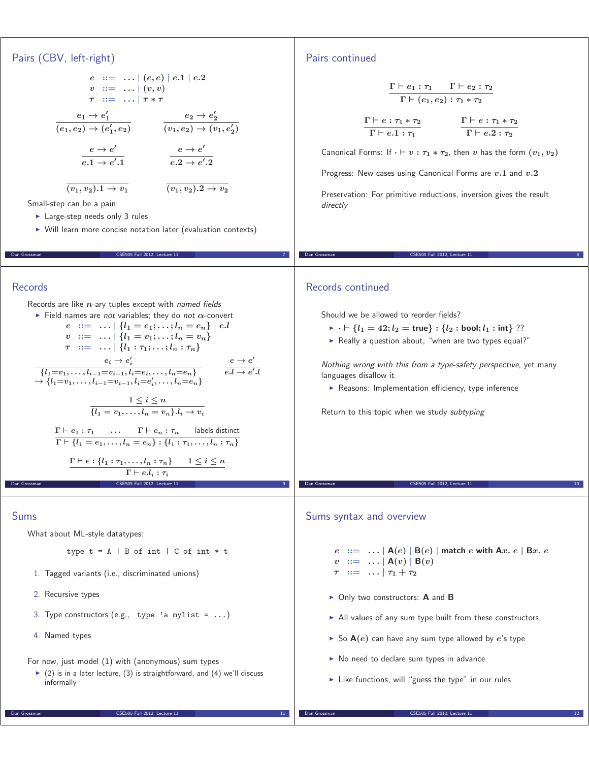#### Pairs (CBV, left-right)  $e$   $::=$   $...$   $(e,e) |e.1|e.2$  $v$   $:=$   $\ldots$   $(v, v)$ *τ* **::=** *... <sup>|</sup> τ <sup>∗</sup> τ*  $e_1 \rightarrow e'_1$  $(e_1, e_2) \rightarrow (e'_1, e_2)$  $\frac{e_2 \rightarrow e'_2}{e_1}$  $(v_1, e_2) \rightarrow (v_1, e'_2)$  $\frac{e \rightarrow e'}{e}$  $e.1 \rightarrow e'.1$  $\frac{e \rightarrow e'}{e}$  $e.2 \rightarrow e'.2$  $\overline{(v_1, v_2).1 \rightarrow v_1}$   $\overline{(v_1, v_2).2 \rightarrow v_2}$ Small-step can be a pain **Large-step needs only 3 rules** - Will learn more concise notation later (evaluation contexts) Dan Grossman CSE505 Fall 2012, Lecture 11 7 Pairs continued  $\frac{\Gamma\vdash e_1:\tau_1\qquad\Gamma\vdash e_2:\tau_2}{\Gamma\vdash e_1\vdash e_2}$  $\Gamma \vdash (e_1, e_2) : \tau_1 * \tau_2$  $\frac{\Gamma\vdash e:\tau_1*\tau_2}{\Gamma\vdash e:\tau_1*\tau_2}$  $\Gamma \vdash e.1 : \tau_1$  $\frac{\Gamma \vdash e : \tau_1 * \tau_2}{\Gamma \vdash e}$  $\Gamma \vdash e.2 : \tau_2$ Canonical Forms: If  $\cdot \vdash v : \tau_1 * \tau_2$ , then *v* has the form  $(v_1, v_2)$ Progress: New cases using Canonical Forms are *v.***<sup>1</sup>** and *v.***<sup>2</sup>** Preservation: For primitive reductions, inversion gives the result directly Dan Grossman CSE505 Fall 2012, Lecture 11 8 Records Records are like *n*-ary tuples except with named fields - Field names are not variables; they do not *α*-convert  $e$  ::=  $\ldots$   $| \{l_1 = e_1; \ldots; l_n = e_n \} | e.l$  $v := \ldots | \{l_1 = v_1; \ldots; l_n = v_n\}$  $\tau$   $::=$   $...$   $\{l_1 : \tau_1; \ldots; l_n : \tau_n\}$  $e_i \rightarrow e'_i$ <br>{ $l_1 = v_1, \ldots, l_{i-1} = v_{i-1}, l_i = e_i, \ldots, l_n = e_n$ }<br>}  $l_1 = v_1, \ldots, l_i = e'_i, \ldots, l_i = e'_i$  $e_i \rightarrow e'_i$  $\rightarrow \{l_1 = v_1, \ldots, l_{i-1} = v_{i-1}, l_i = e'_i, \ldots, l_n = e_n\}$  $\frac{e \rightarrow e'}{e}$  $e.l \rightarrow e'$  $\frac{1 \leq i \leq n}{i}$  ${l_1 = v_1, \ldots, l_n = v_n}.$  $\Gamma \vdash e_1 : \tau_1 \quad \ldots \quad \Gamma \vdash e_n : \tau_n \quad \text{labels distinct}$  $\Gamma \vdash \{l_1 = e_1, \ldots, l_n = e_n\} : \{l_1 : \tau_1, \ldots, l_n : \tau_n\}$  $\Gamma \vdash e : \{l_1 : \tau_1, \ldots, l_n : \tau_n\} \quad 1 \leq i \leq n$  $Γ ⊢ e.l<sub>i</sub> : τ<sub>i</sub>$ Dan Grossman CSE505 Fall 2012, Lecture 11 9 Records continued Should we be allowed to reorder fields?  $\blacktriangleright \ \ \cdot \ \vdash \{l_1 = 42; l_2 = \text{true}\} : \{l_2 : \text{bool}; l_1 : \text{int}\} ??$ ▶ Really a question about, "when are two types equal?" Nothing wrong with this from a type-safety perspective, yet many languages disallow it **-** Reasons: Implementation efficiency, type inference Return to this topic when we study subtyping Dan Grossman CSE505 Fall 2012, Lecture 11 10 Sums What about ML-style datatypes: type  $t = A \mid B$  of int  $\mid C$  of int  $*$  t 1. Tagged variants (i.e., discriminated unions) 2. Recursive types 3. Type constructors (e.g., type 'a mylist =  $\ldots$ ) 4. Named types For now, just model (1) with (anonymous) sum types  $\blacktriangleright$  (2) is in a later lecture, (3) is straightforward, and (4) we'll discuss informally Sums syntax and overview *e* **::=** *... <sup>|</sup>* **<sup>A</sup>(***e***)** *<sup>|</sup>* **<sup>B</sup>(***e***)** *<sup>|</sup>* **match** *e* **with A***x. e <sup>|</sup>* **<sup>B</sup>***x. e*  $v$  ::=  $\ldots$   $\mid$  **A** $(v)$   $\mid$  **B** $(v)$  $\tau$  ::=  $\ldots$   $\tau_1 + \tau_2$ ► Only two constructors: **A** and **B** - All values of any sum type built from these constructors  $\blacktriangleright$  So  $\mathbf{A}(e)$  can have any sum type allowed by  $e$ 's type ▶ No need to declare sum types in advance ► Like functions, will "guess the type" in our rules

Dan Grossman CSE505 Fall 2012, Lecture 11 11

Dan Grossman CSE505 Fall 2012, Lecture 11 12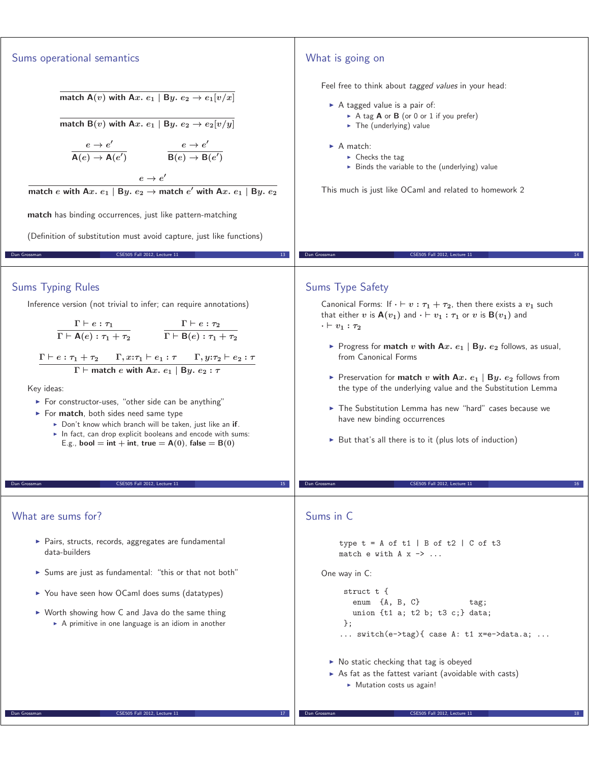### Sums operational semantics **match A**(*v*) with A*x*.  $e_1$  | B*y.*  $e_2 \rightarrow e_1[v/x]$ **match**  $B(v)$  with  $Ax$ .  $e_1$  |  $By$ .  $e_2 \rightarrow e_2$   $[v/y]$  $\frac{e \rightarrow e'}{e}$  $\frac{e \rightarrow e'}{\mathsf{A}(e) \rightarrow \mathsf{A}(e')}$   $\qquad \frac{e \rightarrow e'}{\mathsf{B}(e) \rightarrow \mathsf{B}}$  $B(e) \rightarrow B(e')$  $e \rightarrow e'$ **match**  $e$  with A $x$ .  $e_1 \mid$  B $y$ .  $e_2 \rightarrow$  match  $e'$  with A $x$ .  $e_1 \mid$  B $y$ .  $e_2$ **match** has binding occurrences, just like pattern-matching (Definition of substitution must avoid capture, just like functions) CSE505 Fall 2012, Lecture 11 What is going on Feel free to think about tagged values in your head: A tagged value is a pair of: ► A tag **A** or **B** (or 0 or 1 if you prefer) ► The (underlying) value ► A match: • Checks the tag  $\blacktriangleright$  Binds the variable to the (underlying) value This much is just like OCaml and related to homework 2 Dan Grossman CSE505 Fall 2012, Lecture 11 14 Sums Typing Rules Inference version (not trivial to infer; can require annotations)  $\frac{\Gamma\vdash e:\tau_1}{\bullet\hspace{-.1cm}\bullet\hspace{-.1cm} \bullet\hspace{-.1cm} \bullet\hspace{-.1cm} \bullet}$  $\Gamma \vdash \mathsf{A}(e): \tau_1 + \tau_2$  $\frac{\Gamma\vdash e:\tau_2}{\Gamma\vdash \bot}$  $\Gamma \vdash \mathsf{B}(e): \tau_1 + \tau_2$  $\Gamma \vdash e : \tau_1 + \tau_2 \qquad \Gamma, x{:}\tau_1 \vdash e_1 : \tau \qquad \Gamma, y{:}\tau_2 \vdash e_2 : \tau$  $\Gamma$  **F match** *e* with A*x*.  $e_1$  | B*y*.  $e_2$  :  $\tau$ Key ideas: - For constructor-uses, "other side can be anything" - For **match**, both sides need same type - Don't know which branch will be taken, just like an **if**. In fact, can drop explicit booleans and encode with sums:  $E.g.,$  **bool** = **int** + **int**, **true** =  $A(0)$ , **false** =  $B(0)$ CSE505 Fall 2012, Lecture 11 Sums Type Safety Canonical Forms: If  $\cdot \vdash v : \tau_1 + \tau_2$ , then there exists a  $v_1$  such that either *v* is  $A(v_1)$  and  $\cdot \vdash v_1 : \tau_1$  or *v* is  $B(v_1)$  and  $\cdot$   $\vdash$   $v_1$   $: \tau_2$ ► Progress for **match**  $v$  **with A** $x$ .  $e_1$  | **B** $y$ .  $e_2$  follows, as usual, from Canonical Forms from Canonical Forms reservation for **match** *v* **with A***x*.  $e_1$  | B<sub>*y*</sub>.  $e_2$  follows from the type of the underlying value and the Substitution Lemma the type of the underlying value and the Substitution Lemma - The Substitution Lemma has new "hard" cases because we have new binding occurrences ▶ But that's all there is to it (plus lots of induction) CSE505 Fall 2012, Lecture 11 What are sums for? - Pairs, structs, records, aggregates are fundamental data-builders - Sums are just as fundamental: "this or that not both" ▶ You have seen how OCaml does sums (datatypes) ▶ Worth showing how C and Java do the same thing - A primitive in one language is an idiom in another Dan Grossman CSE505 Fall 2012, Lecture 11 17 Sums in C type  $t = A$  of  $t1$  | B of  $t2$  | C of  $t3$ match e with  $A \times -$  ... One way in C: struct t { enum {A, B, C} tag; union {t1 a; t2 b; t3 c;} data; }; ... switch(e->tag){ case A: t1 x=e->data.a; ... ▶ No static checking that tag is obeyed  $\triangleright$  As fat as the fattest variant (avoidable with casts) **Mutation costs us again!** Dan Grossman CSE505 Fall 2012, Lecture 11 18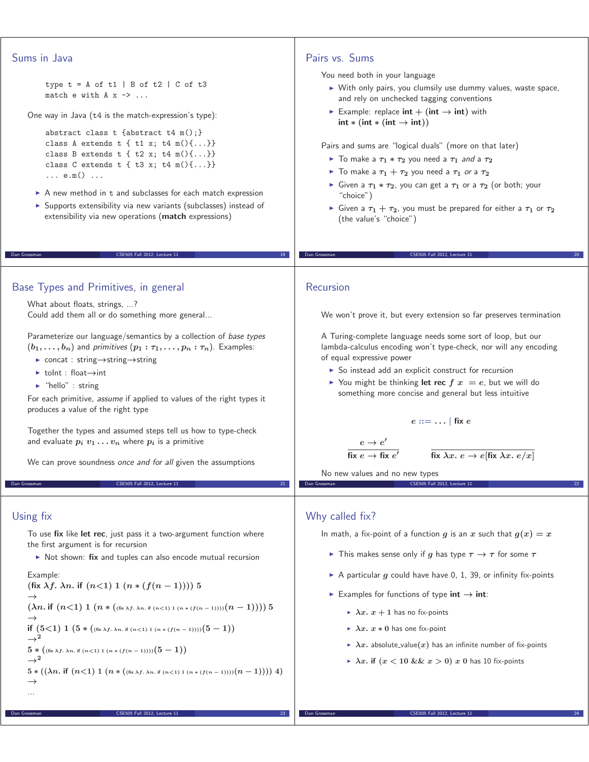# Sums in Java

type  $t = A$  of  $t1$  | B of  $t2$  | C of  $t3$ match e with  $A x \rightarrow \ldots$ 

One way in Java (t4 is the match-expression's type):

```
abstract class t {abstract t4 m();}
class A extends t \{ t1 x; t4 m() \{... \} \}class B extends t { t2 x; t4 m(){...}}
class C extends t \{ t3 x; t4 m() \{... \} \}... e.m() ...
```
- $\blacktriangleright$  A new method in t and subclasses for each match expression
- ▶ Supports extensibility via new variants (subclasses) instead of extensibility via new operations (**match** expressions)

Dan Grossman CSE505 Fall 2012, Lecture 11 19

## Base Types and Primitives, in general

What about floats, strings, ...? Could add them all or do something more general...

Parameterize our language/semantics by a collection of base types  $(b_1, \ldots, b_n)$  and primitives  $(p_1 : \tau_1, \ldots, p_n : \tau_n)$ . Examples:

- concat : string*→*string*→*string
- toInt : float*→*int
- "hello" : string

For each primitive, assume if applied to values of the right types it produces a value of the right type

Together the types and assumed steps tell us how to type-check and evaluate  $p_i$   $v_1 \ldots v_n$  where  $p_i$  is a primitive

We can prove soundness once and for all given the assumptions

CSE505 Fall 2012, Lecture 11

## Using fix

Dan Grossman

To use **fix** like **let rec**, just pass it a two-argument function where the first argument is for recursion

▶ Not shown: fix and tuples can also encode mutual recursion

Example: **(fix**  $\lambda f$ .  $\lambda n$ . **if**  $(n<1)$  1  $(n*(f(n-1)))$  5 *→*  $(\lambda n.$  if  $(n<1)$   $1$   $(n * ($ (fix  $\lambda f.$   $\lambda n.$  if  $(n<1)$   $1$   $(n * (f(n-1))))$  $(n-1)))$   $5$ *→*  $\begin{array}{c} \text{if } (5 < 1) \ 1 \ (5 * ((i \kappa \lambda f, \lambda n. \ \text{if } (n < 1) \ 1 \ (n * (f(n-1))))(5-1)) ) \ \rightarrow \ 2 \end{array}$  $\rightarrow$ <sup>2</sup>  $5 * (($  **f**  $(x \lambda f, \lambda n)$  **if**  $(n < 1) 1 (n * (f(n-1))))$   $(5-1)$  $\rightarrow$ <sup>2</sup>  $5*\left(\left(\lambda n.\text{ if }(n<1)\ 1\ (n*(\text{\tiny{fix}}_A,\text{\tiny{An. if }(n<1)\ 1}\ (n*(f(n-1))))(n-1))\right)\right)\ 4\right)$ *→* ...

## Pairs vs. Sums

You need both in your language

- With only pairs, you clumsily use dummy values, waste space, and rely on unchecked tagging conventions
- $\blacktriangleright$  Example: replace  $\mathsf{int} + (\mathsf{int} \rightarrow \mathsf{int})$  with  $int * (int * (int \rightarrow int))$

Pairs and sums are "logical duals" (more on that later)

- $▶$  To make a  $τ_1$   $∗$   $τ_2$  you need a  $τ_1$  *and* a  $τ_2$
- $\triangleright$  To make a  $\tau_1 + \tau_2$  you need a  $\tau_1$  *or* a  $\tau_2$
- $\triangleright$  Given a  $τ_1 * τ_2$ , you can get a  $τ_1$  or a  $τ_2$  (or both; your "choice") "choice")
- $\triangleright$  Given a  $τ_1 + τ_2$ , you must be prepared for either a  $τ_1$  or  $τ_2$  (the value's "choice") (the value's "choice")

Dan Grossman CSE505 Fall 2012, Lecture 11 20

### Recursion

We won't prove it, but every extension so far preserves termination

A Turing-complete language needs some sort of loop, but our lambda-calculus encoding won't type-check, nor will any encoding of equal expressive power

- ▶ So instead add an explicit construct for recursion
- $\triangleright$  You might be thinking **let rec**  $f(x) = e$ , but we will do something more concise and general but less intuitive something more concise and general but less intuitive

$$
e ::= \dots | \text{ fix } e
$$

$$
\overline{\text{fix }\lambda x.\ e \to e[\text{fix }\lambda x.\ e/x]}
$$

fix  $e \rightarrow$  fix  $e'$ No new values and no new types

 $e \rightarrow e'$ 

#### Dan Grossman CSE505 Fall 2012, Lecture 11 22

### Why called fix?

In math, a fix-point of a function *g* is an *x* such that  $g(x) = x$ 

- This makes sense only if *g* has type *τ <sup>→</sup> τ* for some *τ*
- $\blacktriangleright$  A particular  $g$  could have have 0, 1, 39, or infinity fix-points
- Examples for functions of type **int** *→* **int**:
	- $\blacktriangleright \lambda x.\; x+1$  has no fix-points
	- *λx. x <sup>∗</sup>* **<sup>0</sup>** has one fix-point
	- $\blacktriangleright$   $\lambda x$ . absolute\_value $(x)$  has an infinite number of fix-points
	- *λx.* **if (***x <* **10 &&** *x >* **0)** *x* **<sup>0</sup>** has 10 fix-points